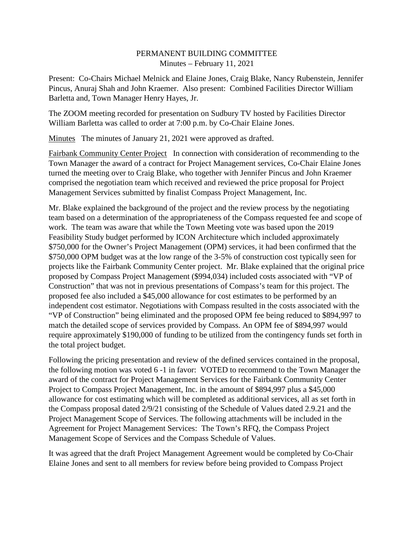## PERMANENT BUILDING COMMITTEE Minutes – February 11, 2021

Present: Co-Chairs Michael Melnick and Elaine Jones, Craig Blake, Nancy Rubenstein, Jennifer Pincus, Anuraj Shah and John Kraemer. Also present: Combined Facilities Director William Barletta and, Town Manager Henry Hayes, Jr.

The ZOOM meeting recorded for presentation on Sudbury TV hosted by Facilities Director William Barletta was called to order at 7:00 p.m. by Co-Chair Elaine Jones.

Minutes The minutes of January 21, 2021 were approved as drafted.

Fairbank Community Center Project In connection with consideration of recommending to the Town Manager the award of a contract for Project Management services, Co-Chair Elaine Jones turned the meeting over to Craig Blake, who together with Jennifer Pincus and John Kraemer comprised the negotiation team which received and reviewed the price proposal for Project Management Services submitted by finalist Compass Project Management, Inc.

Mr. Blake explained the background of the project and the review process by the negotiating team based on a determination of the appropriateness of the Compass requested fee and scope of work. The team was aware that while the Town Meeting vote was based upon the 2019 Feasibility Study budget performed by ICON Architecture which included approximately \$750,000 for the Owner's Project Management (OPM) services, it had been confirmed that the \$750,000 OPM budget was at the low range of the 3-5% of construction cost typically seen for projects like the Fairbank Community Center project. Mr. Blake explained that the original price proposed by Compass Project Management (\$994,034) included costs associated with "VP of Construction" that was not in previous presentations of Compass's team for this project. The proposed fee also included a \$45,000 allowance for cost estimates to be performed by an independent cost estimator. Negotiations with Compass resulted in the costs associated with the "VP of Construction" being eliminated and the proposed OPM fee being reduced to \$894,997 to match the detailed scope of services provided by Compass. An OPM fee of \$894,997 would require approximately \$190,000 of funding to be utilized from the contingency funds set forth in the total project budget.

Following the pricing presentation and review of the defined services contained in the proposal, the following motion was voted 6 -1 in favor: VOTED to recommend to the Town Manager the award of the contract for Project Management Services for the Fairbank Community Center Project to Compass Project Management, Inc. in the amount of \$894,997 plus a \$45,000 allowance for cost estimating which will be completed as additional services, all as set forth in the Compass proposal dated 2/9/21 consisting of the Schedule of Values dated 2.9.21 and the Project Management Scope of Services. The following attachments will be included in the Agreement for Project Management Services: The Town's RFQ, the Compass Project Management Scope of Services and the Compass Schedule of Values.

It was agreed that the draft Project Management Agreement would be completed by Co-Chair Elaine Jones and sent to all members for review before being provided to Compass Project